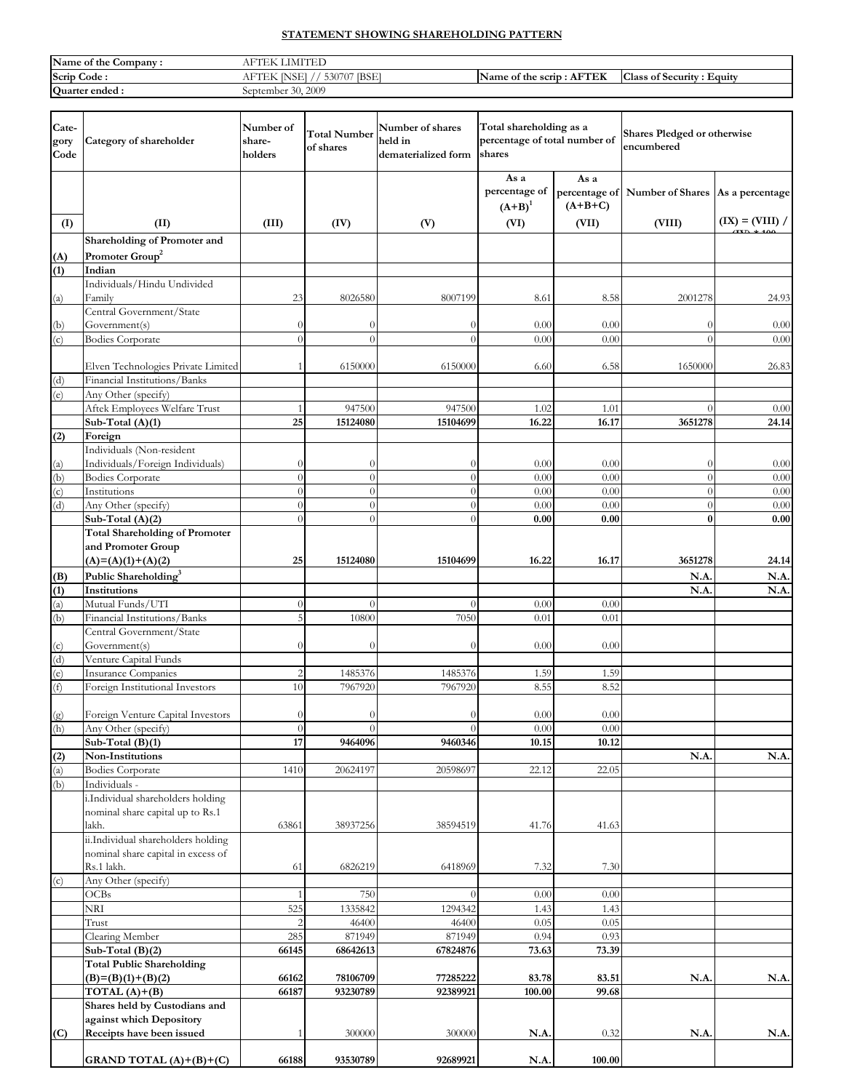# **STATEMENT SHOWING SHAREHOLDING PATTERN**

| Name of the Company: | <b>TA CULTURE</b><br>$\rm AF^{TT}$<br>'N<br>±lE∟<br>N |                                              |                                                     |
|----------------------|-------------------------------------------------------|----------------------------------------------|-----------------------------------------------------|
| Scrip<br>Code:       | <b>IBSE</b><br>FOOTOT.<br>$AF^r$<br>530               | L EMBERTZ<br>Name of the scrip:<br>TEK<br>AF | <b>Class</b><br>c o<br>Ð<br>Equity<br>s of Security |
| Ouarter ended.       | September 30, 2009                                    |                                              |                                                     |

| Cate-<br>gory<br>Code | Category of shareholder                               | Number of<br>share-<br>holders | Total Number<br>of shares | Number of shares<br>held in<br>dematerialized form | Total shareholding as a<br>percentage of total number of<br>shares |                                    | <b>Shares Pledged or otherwise</b><br>encumbered |                   |
|-----------------------|-------------------------------------------------------|--------------------------------|---------------------------|----------------------------------------------------|--------------------------------------------------------------------|------------------------------------|--------------------------------------------------|-------------------|
|                       |                                                       |                                |                           |                                                    | As a<br>percentage of<br>$(A+B)^1$                                 | As a<br>percentage of<br>$(A+B+C)$ | Number of Shares As a percentage                 |                   |
| (I)                   | (II)                                                  | (III)                          | (IV)                      | (V)                                                | (VI)                                                               | (VII)                              | (VIII)                                           | $(IX) = (VIII) /$ |
|                       | Shareholding of Promoter and                          |                                |                           |                                                    |                                                                    |                                    |                                                  |                   |
| (A)                   | Promoter Group <sup>2</sup>                           |                                |                           |                                                    |                                                                    |                                    |                                                  |                   |
| (1)                   | Indian                                                |                                |                           |                                                    |                                                                    |                                    |                                                  |                   |
| (a)                   | Individuals/Hindu Undivided<br>Family                 | 23                             | 8026580                   | 8007199                                            | 8.61                                                               | 8.58                               | 2001278                                          | 24.93             |
|                       | Central Government/State                              |                                |                           |                                                    |                                                                    |                                    |                                                  |                   |
| (b)                   | Government(s)                                         | $\theta$                       | $\theta$                  | $\bigcap$                                          | 0.00                                                               | 0.00                               | $\Omega$                                         | 0.00              |
| (c)                   | <b>Bodies Corporate</b>                               | $\theta$                       | $\theta$                  | $\Omega$                                           | 0.00                                                               | 0.00                               | $\overline{0}$                                   | 0.00              |
|                       |                                                       |                                |                           |                                                    |                                                                    |                                    |                                                  |                   |
|                       | Elven Technologies Private Limited                    |                                | 6150000                   | 6150000                                            | 6.60                                                               | 6.58                               | 1650000                                          | 26.83             |
| (d)                   | Financial Institutions/Banks                          |                                |                           |                                                    |                                                                    |                                    |                                                  |                   |
| (e)                   | Any Other (specify)                                   |                                | 947500                    |                                                    |                                                                    |                                    | $\Omega$                                         |                   |
|                       | Aftek Employees Welfare Trust<br>Sub-Total (A)(1)     | 25                             | 15124080                  | 947500<br>15104699                                 | 1.02<br>16.22                                                      | 1.01<br>16.17                      | 3651278                                          | 0.00<br>24.14     |
| (2)                   | Foreign                                               |                                |                           |                                                    |                                                                    |                                    |                                                  |                   |
|                       | Individuals (Non-resident                             |                                |                           |                                                    |                                                                    |                                    |                                                  |                   |
| (a)                   | Individuals/Foreign Individuals)                      | $\Omega$                       | $\theta$                  | $\Omega$                                           | 0.00                                                               | 0.00                               | $\theta$                                         | 0.00              |
| (b)                   | <b>Bodies Corporate</b>                               | $\theta$                       | $\theta$                  | $\theta$                                           | 0.00                                                               | 0.00                               | $\overline{0}$                                   | 0.00              |
| (c)                   | Institutions                                          | $\Omega$                       | $\theta$                  | $\theta$                                           | 0.00                                                               | 0.00                               | $\overline{0}$                                   | 0.00              |
| (d)                   | Any Other (specify)                                   | $\Omega$                       | $\theta$                  | $\theta$                                           | 0.00                                                               | 0.00                               | $\theta$                                         | 0.00              |
|                       | Sub-Total $(A)(2)$                                    | $\Omega$                       | $\theta$                  | $\theta$                                           | 0.00                                                               | 0.00                               | $\bf{0}$                                         | 0.00              |
|                       | <b>Total Shareholding of Promoter</b>                 |                                |                           |                                                    |                                                                    |                                    |                                                  |                   |
|                       | and Promoter Group                                    |                                |                           |                                                    |                                                                    |                                    |                                                  |                   |
|                       | $(A)=(A)(1)+(A)(2)$                                   | 25                             | 15124080                  | 15104699                                           | 16.22                                                              | 16.17                              | 3651278                                          | 24.14             |
| (B)                   | Public Shareholding <sup>3</sup>                      |                                |                           |                                                    |                                                                    |                                    | N.A.                                             | N.A               |
| (1)<br>(a)            | Institutions<br>Mutual Funds/UTI                      | $\Omega$                       | $\theta$                  | $\Omega$                                           | 0.00                                                               | 0.00                               | N.A.                                             | N.A               |
| (b)                   | Financial Institutions/Banks                          | 5                              | 10800                     | 7050                                               | 0.01                                                               | 0.01                               |                                                  |                   |
|                       | Central Government/State                              |                                |                           |                                                    |                                                                    |                                    |                                                  |                   |
| (c)                   | Government(s)                                         | $\Omega$                       | $\theta$                  | $\Omega$                                           | 0.00                                                               | 0.00                               |                                                  |                   |
| (d)                   | Venture Capital Funds                                 |                                |                           |                                                    |                                                                    |                                    |                                                  |                   |
| (e)                   | <b>Insurance Companies</b>                            | $\overline{c}$                 | 1485376                   | 1485376                                            | 1.59                                                               | 1.59                               |                                                  |                   |
| (f)                   | Foreign Institutional Investors                       | 10                             | 7967920                   | 7967920                                            | 8.55                                                               | 8.52                               |                                                  |                   |
|                       |                                                       |                                |                           |                                                    |                                                                    |                                    |                                                  |                   |
| (g)                   | Foreign Venture Capital Investors                     | $\theta$                       | $\theta$                  | $\theta$                                           | 0.00                                                               | 0.00                               |                                                  |                   |
| (h)                   | Any Other (specify)<br>Sub-Total $(B)(1)$             | $\theta$<br>17                 | $\theta$<br>9464096       | $\theta$<br>9460346                                | 0.00<br>10.15                                                      | 0.00<br>10.12                      |                                                  |                   |
| (2)                   | Non-Institutions                                      |                                |                           |                                                    |                                                                    |                                    | N.A.                                             | N.A               |
| (a)                   | <b>Bodies Corporate</b>                               | 1410                           | 20624197                  | 20598697                                           | 22.12                                                              | 22.05                              |                                                  |                   |
| (b)                   | Individuals -                                         |                                |                           |                                                    |                                                                    |                                    |                                                  |                   |
|                       | i.Individual shareholders holding                     |                                |                           |                                                    |                                                                    |                                    |                                                  |                   |
|                       | nominal share capital up to Rs.1                      |                                |                           |                                                    |                                                                    |                                    |                                                  |                   |
|                       | lakh.                                                 | 63861                          | 38937256                  | 38594519                                           | 41.76                                                              | 41.63                              |                                                  |                   |
|                       | ii.Individual shareholders holding                    |                                |                           |                                                    |                                                                    |                                    |                                                  |                   |
|                       | nominal share capital in excess of                    |                                |                           |                                                    |                                                                    |                                    |                                                  |                   |
|                       | Rs.1 lakh.                                            | 61                             | 6826219                   | 6418969                                            | 7.32                                                               | 7.30                               |                                                  |                   |
| (c)                   | Any Other (specify)<br>OCBs                           | 1                              | 750                       | $\theta$                                           | 0.00                                                               | 0.00                               |                                                  |                   |
|                       | NRI                                                   | 525                            | 1335842                   | 1294342                                            | 1.43                                                               | 1.43                               |                                                  |                   |
|                       | Trust                                                 | $\overline{2}$                 | 46400                     | 46400                                              | 0.05                                                               | 0.05                               |                                                  |                   |
|                       | Clearing Member                                       | 285                            | 871949                    | 871949                                             | 0.94                                                               | 0.93                               |                                                  |                   |
|                       | Sub-Total (B)(2)                                      | 66145                          | 68642613                  | 67824876                                           | 73.63                                                              | 73.39                              |                                                  |                   |
|                       | <b>Total Public Shareholding</b>                      |                                |                           |                                                    |                                                                    |                                    |                                                  |                   |
|                       | $(B)=(B)(1)+(B)(2)$                                   | 66162                          | 78106709                  | 77285222                                           | 83.78                                                              | 83.51                              | N.A.                                             | N.A.              |
|                       | $TOTAL(A)+(B)$                                        | 66187                          | 93230789                  | 92389921                                           | 100.00                                                             | 99.68                              |                                                  |                   |
|                       | Shares held by Custodians and                         |                                |                           |                                                    |                                                                    |                                    |                                                  |                   |
|                       | against which Depository<br>Receipts have been issued |                                | 300000                    | 300000                                             | N.A.                                                               | 0.32                               | N.A.                                             | N.A.              |
|                       |                                                       |                                |                           |                                                    |                                                                    |                                    |                                                  |                   |
| (C)                   |                                                       |                                |                           |                                                    |                                                                    |                                    |                                                  |                   |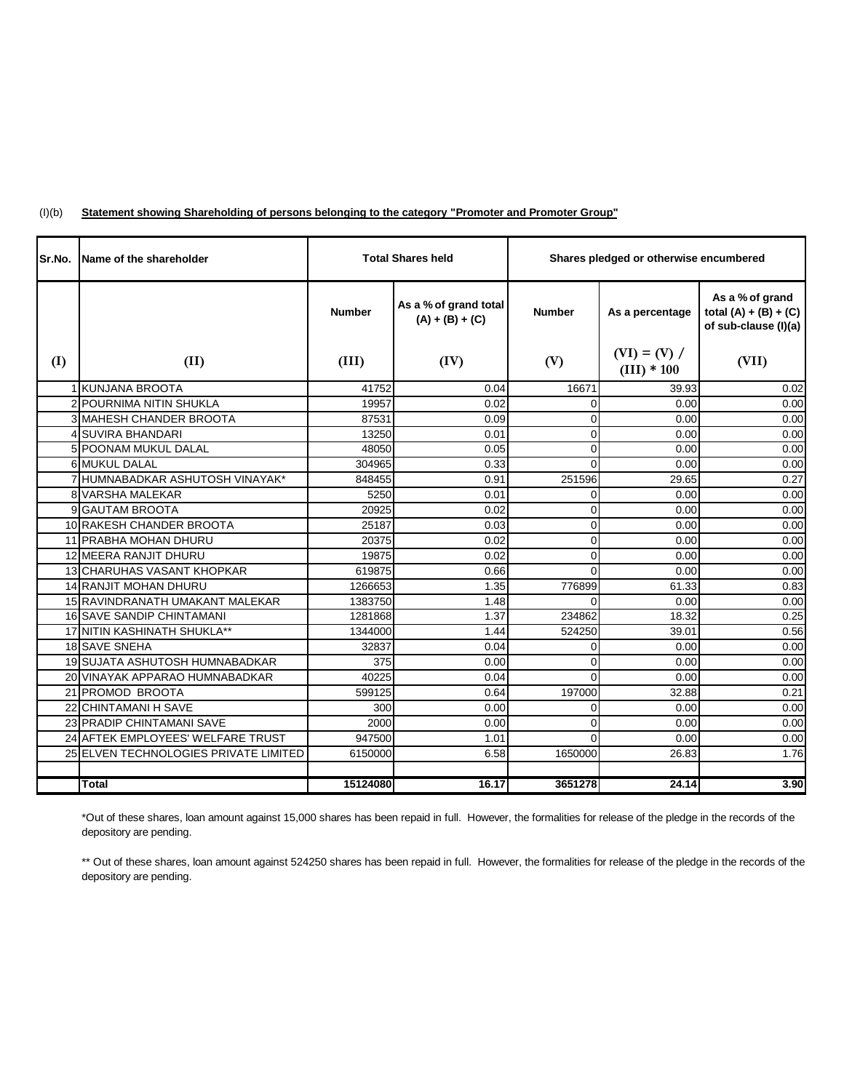#### (I)(b) **Statement showing Shareholding of persons belonging to the category "Promoter and Promoter Group"**

| Sr.No. | Name of the shareholder               |               | <b>Total Shares held</b>                   | Shares pledged or otherwise encumbered |                                 |                                                                    |
|--------|---------------------------------------|---------------|--------------------------------------------|----------------------------------------|---------------------------------|--------------------------------------------------------------------|
|        |                                       | <b>Number</b> | As a % of grand total<br>$(A) + (B) + (C)$ | <b>Number</b>                          | As a percentage                 | As a % of grand<br>total $(A) + (B) + (C)$<br>of sub-clause (I)(a) |
| (I)    | (II)                                  | (III)         | (IV)                                       | (V)                                    | $(VI) = (V) /$<br>$(III) * 100$ | (VII)                                                              |
|        | 1 KUNJANA BROOTA                      | 41752         | 0.04                                       | 16671                                  | 39.93                           | 0.02                                                               |
|        | 2 POURNIMA NITIN SHUKLA               | 19957         | 0.02                                       | $\Omega$                               | 0.00                            | 0.00                                                               |
|        | <b>3 MAHESH CHANDER BROOTA</b>        | 87531         | 0.09                                       | 0                                      | 0.00                            | 0.00                                                               |
|        | 4 SUVIRA BHANDARI                     | 13250         | 0.01                                       | $\Omega$                               | 0.00                            | 0.00                                                               |
|        | 5 POONAM MUKUL DALAL                  | 48050         | 0.05                                       | $\Omega$                               | 0.00                            | 0.00                                                               |
|        | <b>6 MUKUL DALAL</b>                  | 304965        | 0.33                                       | $\Omega$                               | 0.00                            | 0.00                                                               |
|        | 7 HUMNABADKAR ASHUTOSH VINAYAK*       | 848455        | 0.91                                       | 251596                                 | 29.65                           | 0.27                                                               |
|        | 8 VARSHA MALEKAR                      | 5250          | 0.01                                       | $\Omega$                               | 0.00                            | 0.00                                                               |
|        | 9 GAUTAM BROOTA                       | 20925         | 0.02                                       | $\Omega$                               | 0.00                            | 0.00                                                               |
|        | 10 RAKESH CHANDER BROOTA              | 25187         | 0.03                                       | $\Omega$                               | 0.00                            | 0.00                                                               |
|        | 11 PRABHA MOHAN DHURU                 | 20375         | 0.02                                       | $\mathbf 0$                            | 0.00                            | 0.00                                                               |
|        | 12 MEERA RANJIT DHURU                 | 19875         | 0.02                                       | $\Omega$                               | 0.00                            | 0.00                                                               |
|        | <b>13 CHARUHAS VASANT KHOPKAR</b>     | 619875        | 0.66                                       | $\Omega$                               | 0.00                            | 0.00                                                               |
|        | 14 RANJIT MOHAN DHURU                 | 1266653       | 1.35                                       | 776899                                 | 61.33                           | 0.83                                                               |
|        | 15 RAVINDRANATH UMAKANT MALEKAR       | 1383750       | 1.48                                       | $\Omega$                               | 0.00                            | 0.00                                                               |
|        | <b>16 SAVE SANDIP CHINTAMANI</b>      | 1281868       | 1.37                                       | 234862                                 | 18.32                           | 0.25                                                               |
|        | 17 NITIN KASHINATH SHUKLA**           | 1344000       | 1.44                                       | 524250                                 | 39.01                           | 0.56                                                               |
|        | <b>18 SAVE SNEHA</b>                  | 32837         | 0.04                                       | $\Omega$                               | 0.00                            | 0.00                                                               |
|        | 19 SUJATA ASHUTOSH HUMNABADKAR        | 375           | 0.00                                       | $\Omega$                               | 0.00                            | 0.00                                                               |
|        | 20 VINAYAK APPARAO HUMNABADKAR        | 40225         | 0.04                                       | $\Omega$                               | 0.00                            | 0.00                                                               |
|        | 21 PROMOD BROOTA                      | 599125        | 0.64                                       | 197000                                 | 32.88                           | 0.21                                                               |
|        | 22 CHINTAMANI H SAVE                  | 300           | 0.00                                       | $\overline{0}$                         | 0.00                            | 0.00                                                               |
|        | 23 PRADIP CHINTAMANI SAVE             | 2000          | 0.00                                       | $\Omega$                               | 0.00                            | 0.00                                                               |
|        | 24 AFTEK EMPLOYEES' WELFARE TRUST     | 947500        | 1.01                                       | $\Omega$                               | 0.00                            | 0.00                                                               |
|        | 25 ELVEN TECHNOLOGIES PRIVATE LIMITED | 6150000       | 6.58                                       | 1650000                                | 26.83                           | 1.76                                                               |
|        |                                       |               |                                            |                                        |                                 |                                                                    |
|        | <b>Total</b>                          | 15124080      | 16.17                                      | 3651278                                | 24.14                           | 3.90                                                               |

\*Out of these shares, loan amount against 15,000 shares has been repaid in full. However, the formalities for release of the pledge in the records of the depository are pending.

\*\* Out of these shares, loan amount against 524250 shares has been repaid in full. However, the formalities for release of the pledge in the records of the depository are pending.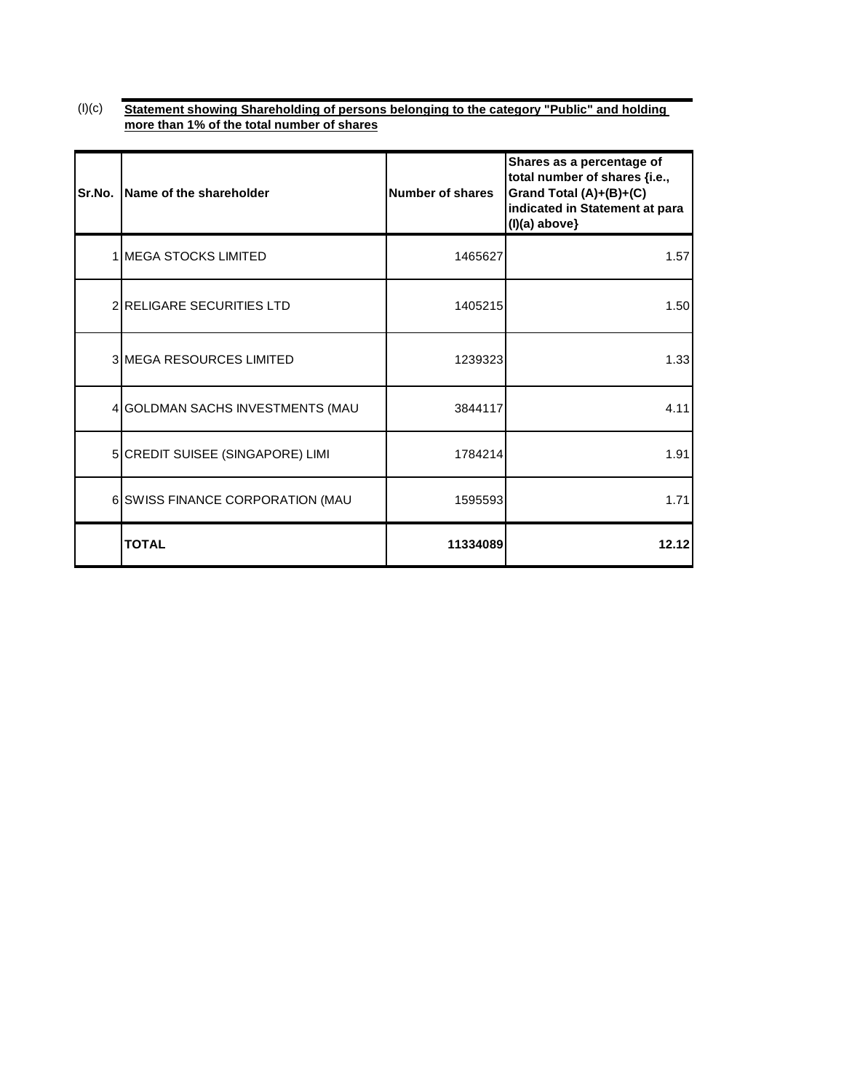#### $(I)(c)$ **Statement showing Shareholding of persons belonging to the category "Public" and holding more than 1% of the total number of shares**

| Sr.No. | Name of the shareholder          | Number of shares | Shares as a percentage of<br>total number of shares {i.e.,<br>Grand Total (A)+(B)+(C)<br>indicated in Statement at para<br>$(I)(a)$ above} |
|--------|----------------------------------|------------------|--------------------------------------------------------------------------------------------------------------------------------------------|
|        | 1 MEGA STOCKS LIMITED            | 1465627          | 1.57                                                                                                                                       |
|        | 2 RELIGARE SECURITIES LTD        | 1405215          | 1.50                                                                                                                                       |
|        | 3 MEGA RESOURCES LIMITED         | 1239323          | 1.33                                                                                                                                       |
|        | 4 GOLDMAN SACHS INVESTMENTS (MAU | 3844117          | 4.11                                                                                                                                       |
|        | 5 CREDIT SUISEE (SINGAPORE) LIMI | 1784214          | 1.91                                                                                                                                       |
|        | 6 SWISS FINANCE CORPORATION (MAU | 1595593          | 1.71                                                                                                                                       |
|        | <b>TOTAL</b>                     | 11334089         | 12.12                                                                                                                                      |